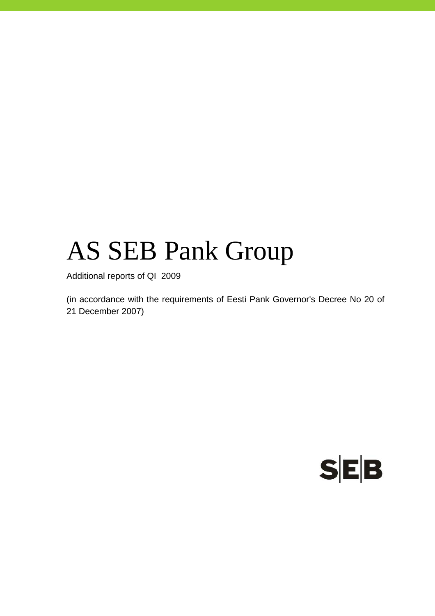# AS SEB Pank Group

Additional reports of QI 2009

(in accordance with the requirements of Eesti Pank Governor's Decree No 20 of 21 December 2007)

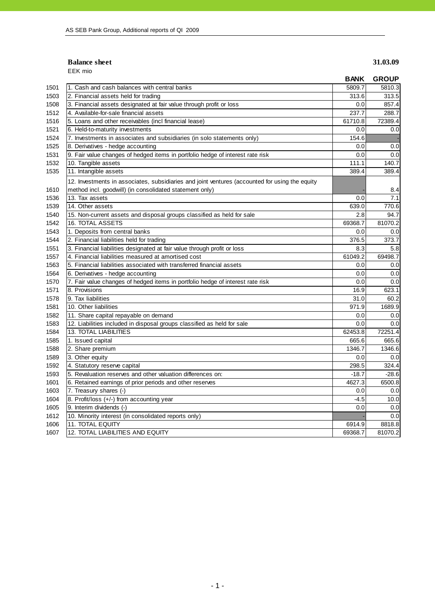### **Balance sheet** 31.03.09 EEK mio

|      |                                                                                                                                                           | <b>BANK</b> | <b>GROUP</b> |
|------|-----------------------------------------------------------------------------------------------------------------------------------------------------------|-------------|--------------|
| 1501 | 1. Cash and cash balances with central banks                                                                                                              | 5809.7      | 5810.3       |
| 1503 | 2. Financial assets held for trading                                                                                                                      | 313.6       | 313.5        |
| 1508 | 3. Financial assets designated at fair value through profit or loss                                                                                       | 0.0         | 857.4        |
| 1512 | 4. Available-for-sale financial assets                                                                                                                    | 237.7       | 288.7        |
| 1516 | 5. Loans and other receivables (incl financial lease)                                                                                                     | 61710.8     | 72389.4      |
| 1521 | 6. Held-to-maturity investments                                                                                                                           | 0.0         | 0.0          |
| 1524 | 7. Investments in associates and subsidiaries (in solo statements only)                                                                                   | 154.6       |              |
| 1525 | 8. Derivatives - hedge accounting                                                                                                                         | 0.0         | 0.0          |
| 1531 | 9. Fair value changes of hedged items in portfolio hedge of interest rate risk                                                                            | 0.0         | 0.0          |
| 1532 | 10. Tangible assets                                                                                                                                       | 111.1       | 140.7        |
| 1535 | 11. Intangible assets                                                                                                                                     | 389.4       | 389.4        |
| 1610 | 12. Investments in associates, subsidiaries and joint ventures (accounted for using the equity<br>method incl. goodwill) (in consolidated statement only) |             | 8.4          |
| 1536 | 13. Tax assets                                                                                                                                            | 0.0         | 7.1          |
| 1539 | 14. Other assets                                                                                                                                          | 639.0       | 770.6        |
| 1540 | 15. Non-current assets and disposal groups classified as held for sale                                                                                    | 2.8         | 94.7         |
| 1542 | 16. TOTAL ASSETS                                                                                                                                          | 69368.7     | 81070.2      |
| 1543 | 1. Deposits from central banks                                                                                                                            | 0.0         | 0.0          |
| 1544 | 2. Financial liabilities held for trading                                                                                                                 | 376.5       | 373.7        |
| 1551 | 3. Financial liabilities designated at fair value through profit or loss                                                                                  | 8.3         | 5.8          |
| 1557 | 4. Financial liabilities measured at amortised cost                                                                                                       | 61049.2     | 69498.7      |
| 1563 | 5. Financial liabilities associated with transferred financial assets                                                                                     | 0.0         | 0.0          |
| 1564 | 6. Derivatives - hedge accounting                                                                                                                         | 0.0         | 0.0          |
| 1570 | 7. Fair value changes of hedged items in portfolio hedge of interest rate risk                                                                            | 0.0         | 0.0          |
| 1571 | 8. Provisions                                                                                                                                             | 16.9        | 623.1        |
| 1578 | 9. Tax liabilities                                                                                                                                        | 31.0        | 60.2         |
| 1581 | 10. Other liabilities                                                                                                                                     | 971.9       | 1689.9       |
| 1582 | 11. Share capital repayable on demand                                                                                                                     | 0.0         | 0.0          |
| 1583 | 12. Liabilities included in disposal groups classified as held for sale                                                                                   | 0.0         | 0.0          |
| 1584 | <b>13. TOTAL LIABILITIES</b>                                                                                                                              | 62453.8     | 72251.4      |
| 1585 | 1. Issued capital                                                                                                                                         | 665.6       | 665.6        |
| 1588 | 2. Share premium                                                                                                                                          | 1346.7      | 1346.6       |
| 1589 | 3. Other equity                                                                                                                                           | 0.0         | 0.0          |
| 1592 | 4. Statutory reserve capital                                                                                                                              | 298.5       | 324.4        |
| 1593 | 5. Revaluation reserves and other valuation differences on:                                                                                               | $-18.7$     | $-28.6$      |
| 1601 | 6. Retained earnings of prior periods and other reserves                                                                                                  | 4627.3      | 6500.8       |
| 1603 | 7. Treasury shares (-)                                                                                                                                    | 0.0         | 0.0          |
| 1604 | 8. Profit/loss (+/-) from accounting year                                                                                                                 | $-4.5$      | 10.0         |
| 1605 | 9. Interim dividends (-)                                                                                                                                  | 0.0         | 0.0          |
| 1612 | 10. Minority interest (in consolidated reports only)                                                                                                      |             | 0.0          |
| 1606 | 11. TOTAL EQUITY                                                                                                                                          | 6914.9      | 8818.8       |
| 1607 | 12. TOTAL LIABILITIES AND EQUITY                                                                                                                          | 69368.7     | 81070.2      |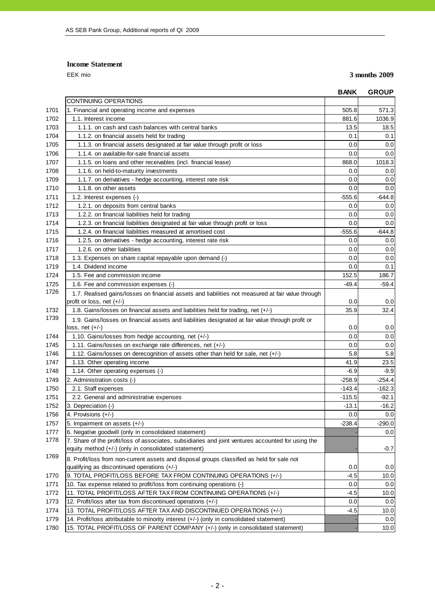## **Income Statement**

EEK mio **3 months 2009**

|      |                                                                                                    | <b>BANK</b> | <b>GROUP</b> |
|------|----------------------------------------------------------------------------------------------------|-------------|--------------|
|      | CONTINUING OPERATIONS                                                                              |             |              |
| 1701 | 1. Financial and operating income and expenses                                                     | 505.8       | 571.3        |
| 1702 | 1.1. Interest income                                                                               | 881.6       | 1036.9       |
| 1703 | 1.1.1. on cash and cash balances with central banks                                                | 13.5        | 18.5         |
| 1704 | 1.1.2. on financial assets held for trading                                                        | 0.1         | 0.1          |
| 1705 | 1.1.3. on financial assets designated at fair value through profit or loss                         | 0.0         | 0.0          |
| 1706 | 1.1.4. on available-for-sale financial assets                                                      | 0.0         | 0.0          |
| 1707 | 1.1.5. on loans and other receivables (incl. financial lease)                                      | 868.0       | 1018.3       |
| 1708 | 1.1.6. on held-to-maturity investments                                                             | 0.0         | 0.0          |
| 1709 | 1.1.7. on derivatives - hedge accounting, interest rate risk                                       | 0.0         | 0.0          |
| 1710 | 1.1.8. on other assets                                                                             | 0.0         | 0.0          |
| 1711 | 1.2. Interest expenses (-)                                                                         | $-555.6$    | $-644.8$     |
| 1712 | 1.2.1. on deposits from central banks                                                              | 0.0         | 0.0          |
| 1713 | 1.2.2. on financial liabilities held for trading                                                   | 0.0         | 0.0          |
| 1714 | 1.2.3. on financial liabilities designated at fair value through profit or loss                    | 0.0         | 0.0          |
| 1715 | 1.2.4, on financial liabilities measured at amortised cost                                         | $-555.6$    | -644.8       |
| 1716 | 1.2.5. on derivatives - hedge accounting, interest rate risk                                       | 0.0         | 0.0          |
| 1717 | 1.2.6. on other liabilities                                                                        | 0.0         | 0.0          |
| 1718 | 1.3. Expenses on share capital repayable upon demand (-)                                           | 0.0         | 0.0          |
| 1719 | 1.4. Dividend income                                                                               | 0.0         | 0.1          |
| 1724 | 1.5. Fee and commission income                                                                     | 152.5       | 186.7        |
| 1725 | 1.6. Fee and commission expenses (-)                                                               | $-49.4$     | $-59.4$      |
| 1726 | 1.7. Realised gains/losses on financial assets and liabilities not measured at fair value through  |             |              |
|      | profit or loss, net $(+/-)$                                                                        | 0.0         | 0.0          |
| 1732 | 1.8. Gains/losses on financial assets and liabilities held for trading, net (+/-)                  | 35.9        | 32.4         |
| 1739 | 1.9. Gains/losses on financial assets and liabilities designated at fair value through profit or   |             |              |
|      | loss, net (+/-)                                                                                    | 0.0         | 0.0          |
| 1744 | 1.10. Gains/losses from hedge accounting, net (+/-)                                                | 0.0         | 0.0          |
| 1745 | 1.11. Gains/losses on exchange rate differences, net (+/-)                                         | 0.0         | 0.0          |
| 1746 | 1.12. Gains/losses on derecognition of assets other than held for sale, net (+/-)                  | 5.8         | 5.8          |
| 1747 | 1.13. Other operating income                                                                       | 41.9        | 23.5         |
| 1748 | 1.14. Other operating expenses (-)                                                                 | $-6.9$      | $-9.9$       |
| 1749 | 2. Administration costs (-)                                                                        | $-258.9$    | $-254.4$     |
| 1750 | 2.1. Staff expenses                                                                                | $-143.4$    | $-162.3$     |
| 1751 | 2.2. General and administrative expenses                                                           | $-115.5$    | $-92.1$      |
| 1752 | 3. Depreciation (-)                                                                                | $-13.1$     | $-16.2$      |
| 1756 | 4. Provisions (+/-)                                                                                | $0.0\,$     | 0.0          |
| 1757 | 5. Impairment on assets $(+/-)$                                                                    | $-238.4$    | $-290.0$     |
| 1777 | 6. Negative goodwill (only in consolidated statement)                                              |             | 0.0          |
| 1778 | 7. Share of the profit/loss of associates, subsidiaries and joint ventures accounted for using the |             |              |
|      | equity method (+/-) (only in consolidated statement)                                               |             | $-0.7$       |
| 1769 | 8. Profit/loss from non-current assets and disposal groups classified as held for sale not         |             |              |
|      | qualifying as discontinued operations (+/-)                                                        | 0.0         | 0.0          |
| 1770 | 9. TOTAL PROFIT/LOSS BEFORE TAX FROM CONTINUING OPERATIONS (+/-)                                   | -4.5        | 10.0         |
| 1771 | 10. Tax expense related to profit/loss from continuing operations (-)                              | 0.0         | 0.0          |
| 1772 | 11. TOTAL PROFIT/LOSS AFTER TAX FROM CONTINUING OPERATIONS (+/-)                                   | $-4.5$      | 10.0         |
| 1773 | 12. Profit/loss after tax from discontinued operations (+/-)                                       | 0.0         | 0.0          |
| 1774 | 13. TOTAL PROFIT/LOSS AFTER TAX AND DISCONTINUED OPERATIONS (+/-)                                  | $-4.5$      | 10.0         |
| 1779 | 14. Profit/loss attributable to minority interest (+/-) (only in consolidated statement)           |             | 0.0          |
| 1780 | 15. TOTAL PROFIT/LOSS OF PARENT COMPANY (+/-) (only in consolidated statement)                     |             | 10.0         |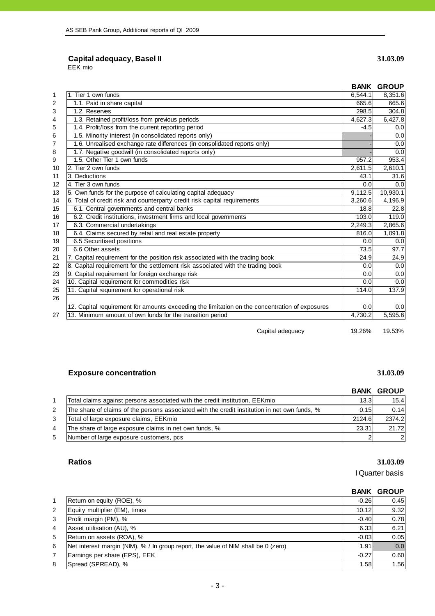# **Capital adequacy, Basel II 31.03.09**

EEK mio

|    |                                                                                                |         | <b>BANK GROUP</b> |
|----|------------------------------------------------------------------------------------------------|---------|-------------------|
| 1  | 1. Tier 1 own funds                                                                            | 6,544.1 | 8,351.6           |
| 2  | 1.1. Paid in share capital                                                                     | 665.6   | 665.6             |
| 3  | 1.2. Reserves                                                                                  | 298.5   | 304.8             |
| 4  | 1.3. Retained profit/loss from previous periods                                                | 4,627.3 | 6,427.8           |
| 5  | 1.4. Profit/loss from the current reporting period                                             | $-4.5$  | 0.0               |
| 6  | 1.5. Minority interest (in consolidated reports only)                                          |         | 0.0               |
| 7  | 1.6. Unrealised exchange rate differences (in consolidated reports only)                       |         | 0.0               |
| 8  | 1.7. Negative goodwill (in consolidated reports only)                                          |         | 0.0               |
| 9  | 1.5. Other Tier 1 own funds                                                                    | 957.2   | 953.4             |
| 10 | 2. Tier 2 own funds                                                                            | 2,611.5 | 2,610.1           |
| 11 | 3. Deductions                                                                                  | 43.1    | 31.6              |
| 12 | 4. Tier 3 own funds                                                                            | 0.0     | 0.0               |
| 13 | 5. Own funds for the purpose of calculating capital adequacy                                   | 9,112.5 | 10,930.1          |
| 14 | 6. Total of credit risk and counterparty credit risk capital requirements                      | 3,260.6 | 4,196.9           |
| 15 | 6.1. Central governments and central banks                                                     | 18.8    | 22.8              |
| 16 | 6.2. Credit institutions, investment firms and local governments                               | 103.0   | 119.0             |
| 17 | 6.3. Commercial undertakings                                                                   | 2,249.3 | 2,865.6           |
| 18 | 6.4. Claims secured by retail and real estate property                                         | 816.0   | 1,091.8           |
| 19 | 6.5 Securitised positions                                                                      | 0.0     | 0.0               |
| 20 | 6.6 Other assets                                                                               | 73.5    | 97.7              |
| 21 | 7. Capital requirement for the position risk associated with the trading book                  | 24.9    | 24.9              |
| 22 | 8. Capital requirement for the settlement risk associated with the trading book                | 0.0     | 0.0               |
| 23 | 9. Capital requirement for foreign exchange risk                                               | 0.0     | 0.0               |
| 24 | 10. Capital requirement for commodities risk                                                   | 0.0     | 0.0               |
| 25 | 11. Capital requirement for operational risk                                                   | 114.0   | 137.9             |
| 26 |                                                                                                |         |                   |
|    | 12. Capital requirement for amounts exceeding the limitation on the concentration of exposures | 0.0     | 0.0               |
| 27 | 13. Minimum amount of own funds for the transition period                                      | 4,730.2 | 5,595.6           |

Capital adequacy 19.26% 19.53%

# **Exposure concentration 31.03.09**

|   |                                                                                               |                   | <b>BANK GROUP</b> |
|---|-----------------------------------------------------------------------------------------------|-------------------|-------------------|
|   | Total claims against persons associated with the credit institution, EEKmio                   | 13.3 <sup>1</sup> | 15.4              |
| 2 | The share of claims of the persons associated with the credit institution in net own funds, % | 0.15              | 0.14              |
| 3 | Total of large exposure claims, EEKmio                                                        | 2124.6            | 2374.2            |
| 4 | The share of large exposure claims in net own funds, %                                        | 23.31             | 21.72             |
| 5 | Number of large exposure customers, pcs                                                       |                   | $\overline{2}$    |

# **Ratios 31.03.09**

I Quarter basis

# **BANK GROUP** 1 Return on equity (ROE), % -0.26 0.45 2 Equity multiplier (EM), times 10.12 9.32 3 Profit margin (PM), % -0.40 0.78 4 Asset utilisation (AU), % 6.21 5 Return on assets (ROA), % 6 Net interest margin (NIM), % / In group report, the value of NIM shall be 0 (zero) 1.91 1.91 0.0 7 Earnings per share (EPS), EEK -0.27 0.60 8 Spread (SPREAD), % 1.56 1.56